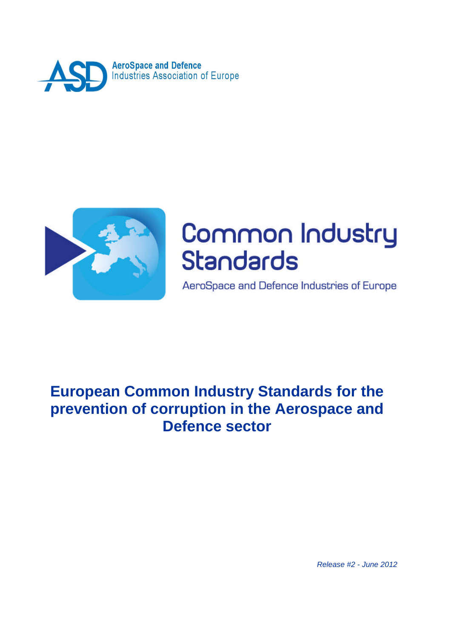



# Common Industry Standards

AeroSpace and Defence Industries of Europe

# **European Common Industry Standards for the prevention of corruption in the Aerospace and Defence sector**

*Release #2 - June 2012*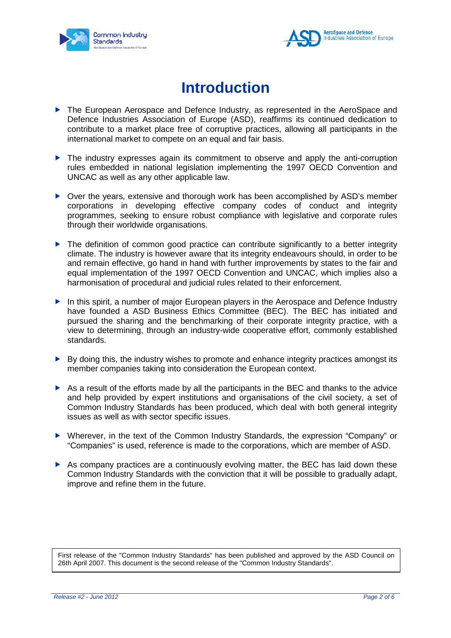



# **Introduction**

- ▶ The European Aerospace and Defence Industry, as represented in the AeroSpace and Defence Industries Association of Europe (ASD), reaffirms its continued dedication to contribute to a market place free of corruptive practices, allowing all participants in the international market to compete on an equal and fair basis.
- ▶ The industry expresses again its commitment to observe and apply the anti-corruption rules embedded in national legislation implementing the 1997 OECD Convention and UNCAC as well as any other applicable law.
- ▶ Over the years, extensive and thorough work has been accomplished by ASD's member corporations in developing effective company codes of conduct and integrity programmes, seeking to ensure robust compliance with legislative and corporate rules through their worldwide organisations.
- The definition of common good practice can contribute significantly to a better integrity climate. The industry is however aware that its integrity endeavours should, in order to be and remain effective, go hand in hand with further improvements by states to the fair and equal implementation of the 1997 OECD Convention and UNCAC, which implies also a harmonisation of procedural and judicial rules related to their enforcement.
- In this spirit, a number of major European players in the Aerospace and Defence Industry have founded a ASD Business Ethics Committee (BEC). The BEC has initiated and pursued the sharing and the benchmarking of their corporate integrity practice, with a view to determining, through an industry-wide cooperative effort, commonly established standards.
- $\blacktriangleright$  By doing this, the industry wishes to promote and enhance integrity practices amongst its member companies taking into consideration the European context.
- $\triangleright$  As a result of the efforts made by all the participants in the BEC and thanks to the advice and help provided by expert institutions and organisations of the civil society, a set of Common Industry Standards has been produced, which deal with both general integrity issues as well as with sector specific issues.
- Wherever, in the text of the Common Industry Standards, the expression "Company" or "Companies" is used, reference is made to the corporations, which are member of ASD.
- As company practices are a continuously evolving matter, the BEC has laid down these Common Industry Standards with the conviction that it will be possible to gradually adapt, improve and refine them in the future.

First release of the "Common Industry Standards" has been published and approved by the ASD Council on 26th April 2007. This document is the second release of the "Common Industry Standards".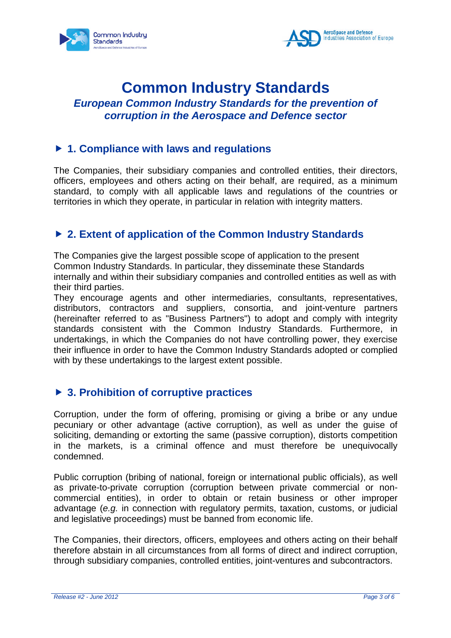



# **Common Industry Standards**

## *European Common Industry Standards for the prevention of corruption in the Aerospace and Defence sector*

## **1. Compliance with laws and regulations**

The Companies, their subsidiary companies and controlled entities, their directors, officers, employees and others acting on their behalf, are required, as a minimum standard, to comply with all applicable laws and regulations of the countries or territories in which they operate, in particular in relation with integrity matters.

## **2. Extent of application of the Common Industry Standards**

The Companies give the largest possible scope of application to the present Common Industry Standards. In particular, they disseminate these Standards internally and within their subsidiary companies and controlled entities as well as with their third parties.

They encourage agents and other intermediaries, consultants, representatives, distributors, contractors and suppliers, consortia, and joint-venture partners (hereinafter referred to as "Business Partners") to adopt and comply with integrity standards consistent with the Common Industry Standards. Furthermore, in undertakings, in which the Companies do not have controlling power, they exercise their influence in order to have the Common Industry Standards adopted or complied with by these undertakings to the largest extent possible.

## **3. Prohibition of corruptive practices**

Corruption, under the form of offering, promising or giving a bribe or any undue pecuniary or other advantage (active corruption), as well as under the guise of soliciting, demanding or extorting the same (passive corruption), distorts competition in the markets, is a criminal offence and must therefore be unequivocally condemned.

Public corruption (bribing of national, foreign or international public officials), as well as private-to-private corruption (corruption between private commercial or noncommercial entities), in order to obtain or retain business or other improper advantage (*e.g.* in connection with regulatory permits, taxation, customs, or judicial and legislative proceedings) must be banned from economic life.

The Companies, their directors, officers, employees and others acting on their behalf therefore abstain in all circumstances from all forms of direct and indirect corruption, through subsidiary companies, controlled entities, joint-ventures and subcontractors.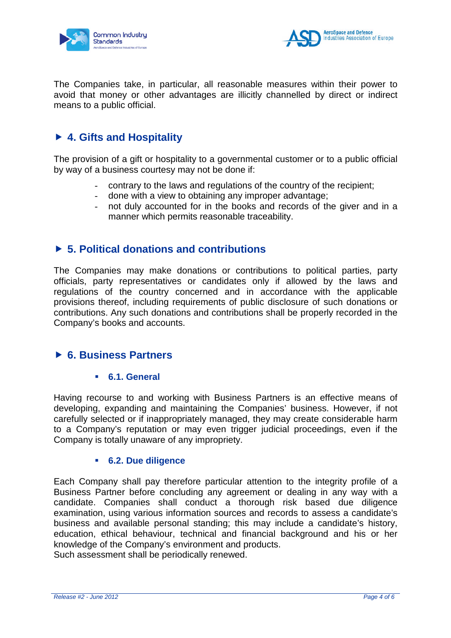



The Companies take, in particular, all reasonable measures within their power to avoid that money or other advantages are illicitly channelled by direct or indirect means to a public official.

# **4. Gifts and Hospitality**

The provision of a gift or hospitality to a governmental customer or to a public official by way of a business courtesy may not be done if:

- contrary to the laws and regulations of the country of the recipient;
- done with a view to obtaining any improper advantage;
- not duly accounted for in the books and records of the giver and in a manner which permits reasonable traceability.

## **5. Political donations and contributions**

The Companies may make donations or contributions to political parties, party officials, party representatives or candidates only if allowed by the laws and regulations of the country concerned and in accordance with the applicable provisions thereof, including requirements of public disclosure of such donations or contributions. Any such donations and contributions shall be properly recorded in the Company's books and accounts.

#### **6. Business Partners**

**6.1. General**

Having recourse to and working with Business Partners is an effective means of developing, expanding and maintaining the Companies' business. However, if not carefully selected or if inappropriately managed, they may create considerable harm to a Company's reputation or may even trigger judicial proceedings, even if the Company is totally unaware of any impropriety.

#### **6.2. Due diligence**

Each Company shall pay therefore particular attention to the integrity profile of a Business Partner before concluding any agreement or dealing in any way with a candidate. Companies shall conduct a thorough risk based due diligence examination, using various information sources and records to assess a candidate's business and available personal standing; this may include a candidate's history, education, ethical behaviour, technical and financial background and his or her knowledge of the Company's environment and products.

Such assessment shall be periodically renewed.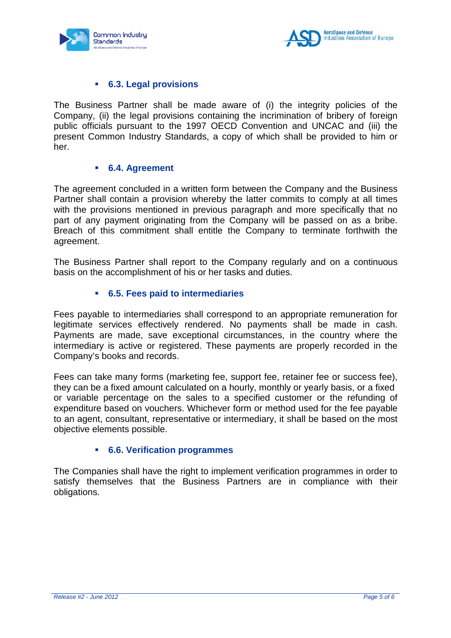



#### **6.3. Legal provisions**

The Business Partner shall be made aware of (i) the integrity policies of the Company, (ii) the legal provisions containing the incrimination of bribery of foreign public officials pursuant to the 1997 OECD Convention and UNCAC and (iii) the present Common Industry Standards, a copy of which shall be provided to him or her.

#### **6.4. Agreement**

The agreement concluded in a written form between the Company and the Business Partner shall contain a provision whereby the latter commits to comply at all times with the provisions mentioned in previous paragraph and more specifically that no part of any payment originating from the Company will be passed on as a bribe. Breach of this commitment shall entitle the Company to terminate forthwith the agreement.

The Business Partner shall report to the Company regularly and on a continuous basis on the accomplishment of his or her tasks and duties.

#### **6.5. Fees paid to intermediaries**

Fees payable to intermediaries shall correspond to an appropriate remuneration for legitimate services effectively rendered. No payments shall be made in cash. Payments are made, save exceptional circumstances, in the country where the intermediary is active or registered. These payments are properly recorded in the Company's books and records.

Fees can take many forms (marketing fee, support fee, retainer fee or success fee), they can be a fixed amount calculated on a hourly, monthly or yearly basis, or a fixed or variable percentage on the sales to a specified customer or the refunding of expenditure based on vouchers. Whichever form or method used for the fee payable to an agent, consultant, representative or intermediary, it shall be based on the most objective elements possible.

#### **6.6. Verification programmes**

The Companies shall have the right to implement verification programmes in order to satisfy themselves that the Business Partners are in compliance with their obligations.